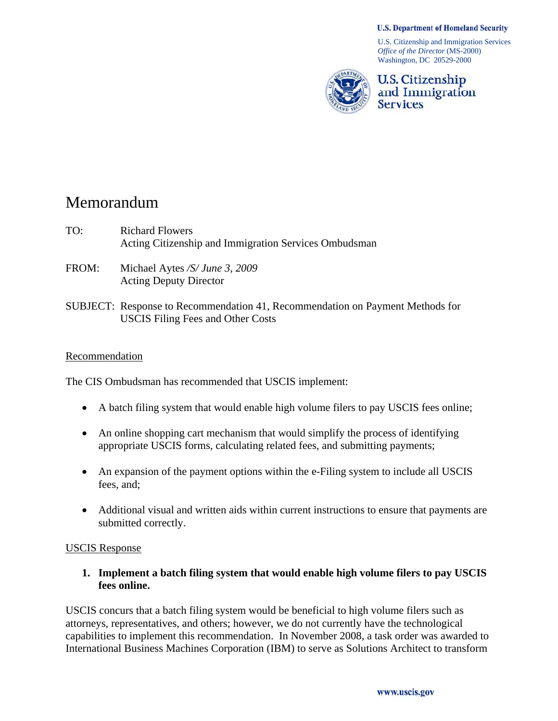#### **U.S. Department of Homeland Security**

U.S. Citizenship and Immigration Services *Office of the Director* (MS-2000) Washington, DC 20529-2000



U.S. Citizenship and Immigration **Services** 

# Memorandum

- TO: Richard Flowers Acting Citizenship and Immigration Services Ombudsman
- FROM: Michael Aytes */S/ June 3, 2009*  Acting Deputy Director
- SUBJECT: Response to Recommendation 41, Recommendation on Payment Methods for USCIS Filing Fees and Other Costs

#### Recommendation

The CIS Ombudsman has recommended that USCIS implement:

- A batch filing system that would enable high volume filers to pay USCIS fees online;
- An online shopping cart mechanism that would simplify the process of identifying appropriate USCIS forms, calculating related fees, and submitting payments;
- An expansion of the payment options within the e-Filing system to include all USCIS fees, and;
- Additional visual and written aids within current instructions to ensure that payments are submitted correctly.

### USCIS Response

**1. Implement a batch filing system that would enable high volume filers to pay USCIS fees online.** 

USCIS concurs that a batch filing system would be beneficial to high volume filers such as attorneys, representatives, and others; however, we do not currently have the technological capabilities to implement this recommendation. In November 2008, a task order was awarded to International Business Machines Corporation (IBM) to serve as Solutions Architect to transform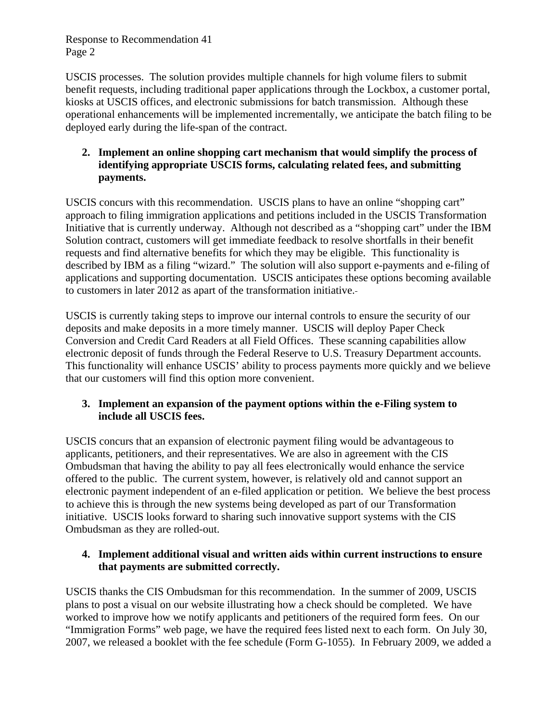Response to Recommendation 41 Page 2

USCIS processes. The solution provides multiple channels for high volume filers to submit benefit requests, including traditional paper applications through the Lockbox, a customer portal, kiosks at USCIS offices, and electronic submissions for batch transmission. Although these operational enhancements will be implemented incrementally, we anticipate the batch filing to be deployed early during the life-span of the contract.

# **2. Implement an online shopping cart mechanism that would simplify the process of identifying appropriate USCIS forms, calculating related fees, and submitting payments.**

USCIS concurs with this recommendation. USCIS plans to have an online "shopping cart" approach to filing immigration applications and petitions included in the USCIS Transformation Initiative that is currently underway. Although not described as a "shopping cart" under the IBM Solution contract, customers will get immediate feedback to resolve shortfalls in their benefit requests and find alternative benefits for which they may be eligible. This functionality is described by IBM as a filing "wizard." The solution will also support e-payments and e-filing of applications and supporting documentation. USCIS anticipates these options becoming available to customers in later 2012 as apart of the transformation initiative.

USCIS is currently taking steps to improve our internal controls to ensure the security of our deposits and make deposits in a more timely manner. USCIS will deploy Paper Check Conversion and Credit Card Readers at all Field Offices. These scanning capabilities allow electronic deposit of funds through the Federal Reserve to U.S. Treasury Department accounts. This functionality will enhance USCIS' ability to process payments more quickly and we believe that our customers will find this option more convenient.

# **3. Implement an expansion of the payment options within the e-Filing system to include all USCIS fees.**

USCIS concurs that an expansion of electronic payment filing would be advantageous to applicants, petitioners, and their representatives. We are also in agreement with the CIS Ombudsman that having the ability to pay all fees electronically would enhance the service offered to the public. The current system, however, is relatively old and cannot support an electronic payment independent of an e-filed application or petition. We believe the best process to achieve this is through the new systems being developed as part of our Transformation initiative. USCIS looks forward to sharing such innovative support systems with the CIS Ombudsman as they are rolled-out.

# **4. Implement additional visual and written aids within current instructions to ensure that payments are submitted correctly.**

USCIS thanks the CIS Ombudsman for this recommendation. In the summer of 2009, USCIS plans to post a visual on our website illustrating how a check should be completed. We have worked to improve how we notify applicants and petitioners of the required form fees. On our "Immigration Forms" web page, we have the required fees listed next to each form. On July 30, 2007, we released a booklet with the fee schedule (Form G-1055). In February 2009, we added a